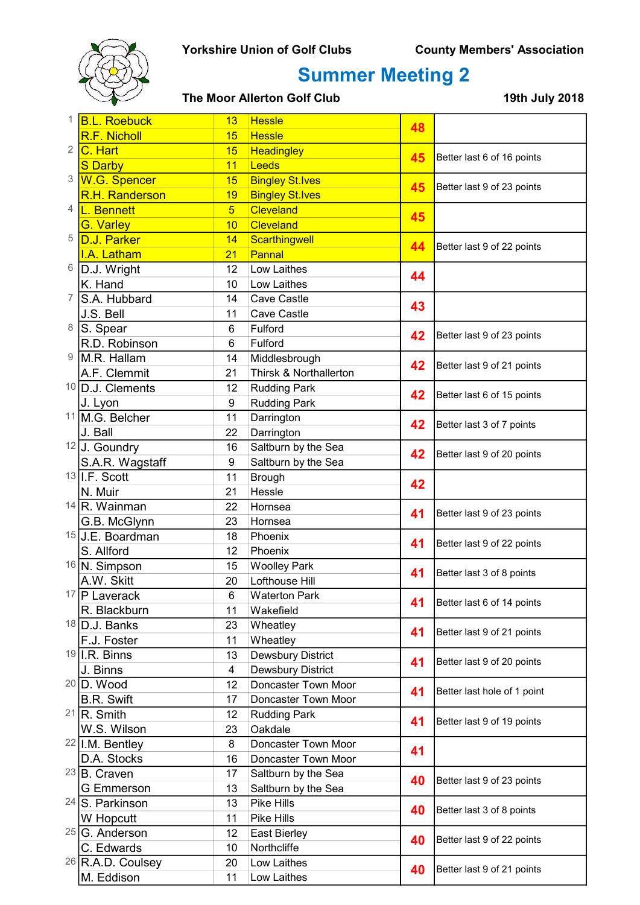

| 1              | <b>B.L. Roebuck</b>          | <b>Hessle</b><br>13 | 48                     |    |                             |
|----------------|------------------------------|---------------------|------------------------|----|-----------------------------|
|                | R.F. Nicholl                 | 15                  | <b>Hessle</b>          |    |                             |
| $\overline{2}$ | C. Hart                      | 15                  | <b>Headingley</b>      | 45 | Better last 6 of 16 points  |
|                | <b>S</b> Darby               | 11                  | Leeds                  |    |                             |
| 3              | W.G. Spencer                 | 15                  | <b>Bingley St.Ives</b> | 45 | Better last 9 of 23 points  |
|                | <b>R.H. Randerson</b>        | 19                  | <b>Bingley St.Ives</b> |    |                             |
| 4              | L. Bennett                   | 5 <sup>5</sup>      | <b>Cleveland</b>       | 45 |                             |
|                | <b>G. Varley</b>             | 10                  | <b>Cleveland</b>       |    |                             |
| 5              | D.J. Parker                  | 14                  | Scarthingwell          | 44 | Better last 9 of 22 points  |
|                | I.A. Latham                  | 21                  | Pannal                 |    |                             |
| 6              | D.J. Wright                  | 12                  | Low Laithes            | 44 |                             |
|                | K. Hand                      | 10                  | Low Laithes            |    |                             |
| 7              | S.A. Hubbard                 | 14                  | Cave Castle            | 43 |                             |
|                | J.S. Bell                    | 11                  | Cave Castle            |    |                             |
| 8              | S. Spear                     | 6                   | Fulford                |    |                             |
|                | R.D. Robinson                | 6                   | Fulford                | 42 | Better last 9 of 23 points  |
| 9              | M.R. Hallam                  | 14                  | Middlesbrough          |    |                             |
|                | A.F. Clemmit                 | 21                  | Thirsk & Northallerton | 42 | Better last 9 of 21 points  |
|                | <sup>10</sup> D.J. Clements  | 12                  | <b>Rudding Park</b>    |    |                             |
|                | J. Lyon                      | 9                   | <b>Rudding Park</b>    | 42 | Better last 6 of 15 points  |
|                | 11 M.G. Belcher              | 11                  | Darrington             |    |                             |
|                | J. Ball                      | 22                  | Darrington             | 42 | Better last 3 of 7 points   |
|                | $12$ J. Goundry              | 16                  | Saltburn by the Sea    |    | Better last 9 of 20 points  |
|                | S.A.R. Wagstaff              | 9                   | Saltburn by the Sea    | 42 |                             |
|                | 13 I.F. Scott                | 11                  | <b>Brough</b>          |    |                             |
|                | N. Muir                      | 21                  | Hessle                 | 42 |                             |
|                | $14$ R. Wainman              | 22                  | Hornsea                |    | Better last 9 of 23 points  |
|                | G.B. McGlynn                 | 23                  | Hornsea                | 41 |                             |
|                | 15 J.E. Boardman             | 18                  | Phoenix                |    | Better last 9 of 22 points  |
|                | S. Allford                   | 12                  | Phoenix                | 41 |                             |
|                | 16 N. Simpson                | 15                  | <b>Woolley Park</b>    |    |                             |
|                | A.W. Skitt                   | 20                  | Lofthouse Hill         | 41 | Better last 3 of 8 points   |
|                | 17   P Laverack              | 6                   | <b>Waterton Park</b>   |    |                             |
|                | R. Blackburn                 | 11                  | Wakefield              | 41 | Better last 6 of 14 points  |
|                | 18 D.J. Banks                | 23                  | Wheatley               |    |                             |
|                | F.J. Foster                  | 11                  | Wheatley               | 41 | Better last 9 of 21 points  |
|                | $19$ I.R. Binns              | 13                  | Dewsbury District      |    |                             |
|                | J. Binns                     | 4                   | Dewsbury District      | 41 | Better last 9 of 20 points  |
|                | $20$ D. Wood                 | 12                  | Doncaster Town Moor    |    |                             |
|                | <b>B.R. Swift</b>            | 17                  | Doncaster Town Moor    | 41 | Better last hole of 1 point |
|                | $21$ R. Smith                | 12                  | <b>Rudding Park</b>    |    |                             |
|                | W.S. Wilson                  | 23                  | Oakdale                | 41 | Better last 9 of 19 points  |
|                | $22$  I.M. Bentley           | 8                   | Doncaster Town Moor    |    |                             |
|                | D.A. Stocks                  | 16                  | Doncaster Town Moor    | 41 |                             |
|                | $23$ B. Craven               | 17                  | Saltburn by the Sea    | 40 | Better last 9 of 23 points  |
|                | <b>G</b> Emmerson            | 13                  | Saltburn by the Sea    |    |                             |
|                | 24 S. Parkinson              | 13                  | Pike Hills             | 40 | Better last 3 of 8 points   |
|                | W Hopcutt                    | 11                  | Pike Hills             |    |                             |
|                | $25 G$ . Anderson            | 12                  | East Bierley           |    |                             |
|                | C. Edwards                   | 10                  | Northcliffe            | 40 | Better last 9 of 22 points  |
|                | <sup>26</sup> R.A.D. Coulsey | 20                  | Low Laithes            |    |                             |
|                | M. Eddison                   | 11                  | Low Laithes            | 40 | Better last 9 of 21 points  |
|                |                              |                     |                        |    |                             |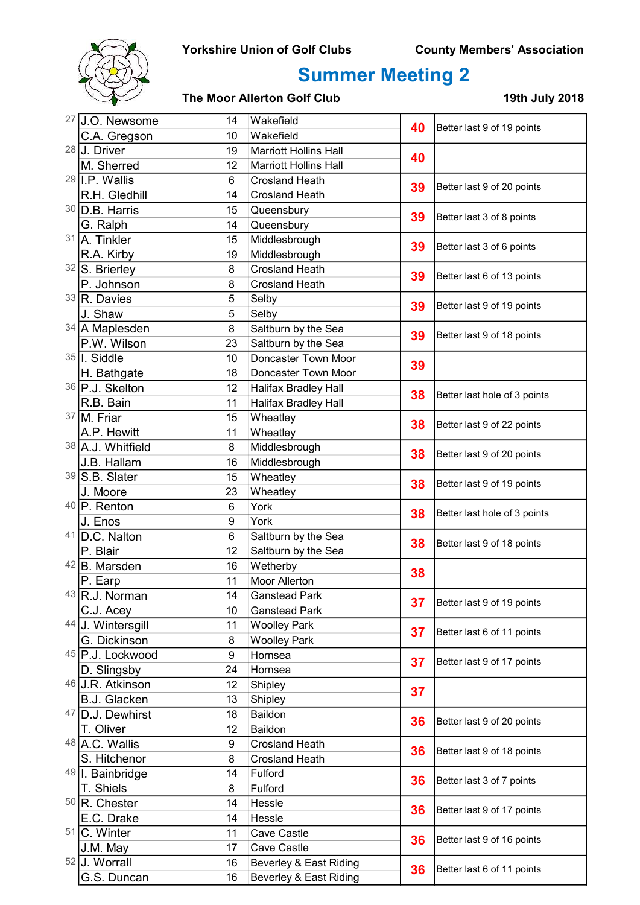

| 27 | J.O. Newsome             | 14            | Wakefield                    | 40                         | Better last 9 of 19 points   |
|----|--------------------------|---------------|------------------------------|----------------------------|------------------------------|
|    | C.A. Gregson             | 10            | Wakefield                    |                            |                              |
|    | $28$ J. Driver           | 19            | <b>Marriott Hollins Hall</b> | 40                         |                              |
|    | M. Sherred               | 12            | <b>Marriott Hollins Hall</b> |                            |                              |
|    | $29$   I.P. Wallis       | 6             | <b>Crosland Heath</b>        | 39                         | Better last 9 of 20 points   |
|    | R.H. Gledhill            | 14            | <b>Crosland Heath</b>        |                            |                              |
|    | $30$ D.B. Harris         | 15            | Queensbury                   | 39                         | Better last 3 of 8 points    |
|    | G. Ralph                 | 14            | Queensbury                   |                            |                              |
|    | 31 A. Tinkler            | 15            | Middlesbrough                | 39                         | Better last 3 of 6 points    |
|    | R.A. Kirby               | 19            | Middlesbrough                |                            |                              |
|    | $32$ S. Brierley         | 8             | <b>Crosland Heath</b>        | 39                         | Better last 6 of 13 points   |
|    | P. Johnson               | 8             | <b>Crosland Heath</b>        |                            |                              |
|    | $33$ R. Davies           | 5             | Selby                        | 39                         | Better last 9 of 19 points   |
|    | J. Shaw                  | 5             | Selby                        |                            |                              |
|    | 34 A Maplesden           | 8             | Saltburn by the Sea          | 39                         | Better last 9 of 18 points   |
|    | P.W. Wilson              | 23            | Saltburn by the Sea          |                            |                              |
|    | $35$ I. Siddle           | 10            | Doncaster Town Moor          | 39                         |                              |
|    | H. Bathgate              | 18            | Doncaster Town Moor          |                            |                              |
|    | 36 P.J. Skelton          | 12            | <b>Halifax Bradley Hall</b>  | 38                         | Better last hole of 3 points |
|    | R.B. Bain                | 11            | <b>Halifax Bradley Hall</b>  |                            |                              |
|    | $37$ M. Friar            | 15            | Wheatley                     | 38                         | Better last 9 of 22 points   |
|    | A.P. Hewitt              | 11            | Wheatley                     |                            |                              |
|    | 38 A.J. Whitfield        | 8             | Middlesbrough                | 38                         | Better last 9 of 20 points   |
|    | J.B. Hallam              | 16            | Middlesbrough                |                            |                              |
|    | 39 S.B. Slater           | 15            | Wheatley                     | 38                         | Better last 9 of 19 points   |
|    | J. Moore                 | 23            | Wheatley                     |                            |                              |
|    | $40$ P. Renton           | $\,6$         | York                         | 38                         | Better last hole of 3 points |
|    | J. Enos                  | 9             | York                         |                            |                              |
| 41 | D.C. Nalton              | 6             | Saltburn by the Sea          | 38                         | Better last 9 of 18 points   |
|    | P. Blair                 | 12            | Saltburn by the Sea          |                            |                              |
|    | 42 B. Marsden            | 16            | Wetherby                     | 38                         |                              |
|    | P. Earp                  | 11            | Moor Allerton                |                            |                              |
|    | $43$ R.J. Norman         | 14            | <b>Ganstead Park</b>         | 37                         | Better last 9 of 19 points   |
|    | C.J. Acey                | 10            | <b>Ganstead Park</b>         |                            |                              |
| 44 | J. Wintersgill           | 11            | <b>Woolley Park</b>          | 37                         | Better last 6 of 11 points   |
|    | G. Dickinson             | 8             | <b>Woolley Park</b>          |                            |                              |
|    | 45 P.J. Lockwood         | 9             | Hornsea                      | 37                         | Better last 9 of 17 points   |
|    | D. Slingsby              | 24            | Hornsea                      |                            |                              |
| 46 | J.R. Atkinson            | 12            | Shipley                      | 37                         |                              |
|    | <b>B.J. Glacken</b>      | 13            | Shipley                      |                            |                              |
|    | 47 D.J. Dewhirst         | Baildon<br>18 | 36                           | Better last 9 of 20 points |                              |
|    | T. Oliver                | Baildon<br>12 |                              |                            |                              |
|    | 48 A.C. Wallis           | 9             | <b>Crosland Heath</b>        | 36                         | Better last 9 of 18 points   |
|    | S. Hitchenor             | 8             | <b>Crosland Heath</b>        |                            |                              |
|    | 49   I. Bainbridge       | 14            | Fulford                      | 36                         | Better last 3 of 7 points    |
|    | T. Shiels                | 8             | Fulford                      |                            |                              |
|    | <sup>50</sup> R. Chester | 14            | Hessle                       | 36                         | Better last 9 of 17 points   |
|    | E.C. Drake               | 14            | Hessle                       |                            |                              |
|    | 51 C. Winter             | 11            | Cave Castle                  | 36                         | Better last 9 of 16 points   |
|    | J.M. May                 | 17            | Cave Castle                  |                            |                              |
|    | 52 J. Worrall            | 16            | Beverley & East Riding       | 36                         | Better last 6 of 11 points   |
|    | G.S. Duncan              | 16            | Beverley & East Riding       |                            |                              |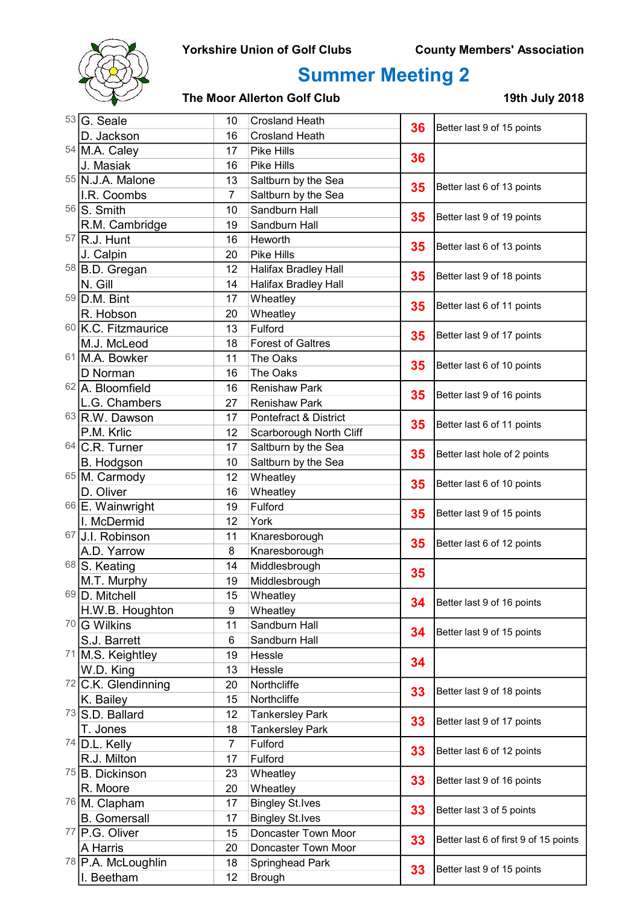

|  | $53 G.$ Seale                 | 10                           | <b>Crosland Heath</b>       | 36 | Better last 9 of 15 points            |
|--|-------------------------------|------------------------------|-----------------------------|----|---------------------------------------|
|  | D. Jackson                    | 16                           | <b>Crosland Heath</b>       |    |                                       |
|  | 54 M.A. Caley                 | 17                           | Pike Hills                  | 36 |                                       |
|  | J. Masiak                     | 16                           | Pike Hills                  |    |                                       |
|  | 55 N.J.A. Malone              | 13                           | Saltburn by the Sea         | 35 | Better last 6 of 13 points            |
|  | I.R. Coombs                   | 7                            | Saltburn by the Sea         |    |                                       |
|  | $56$ S. Smith                 | 10                           | Sandburn Hall               | 35 | Better last 9 of 19 points            |
|  | R.M. Cambridge                | 19                           | Sandburn Hall               |    |                                       |
|  | $57$ R.J. Hunt                | 16                           | Heworth                     | 35 | Better last 6 of 13 points            |
|  | J. Calpin                     | 20                           | Pike Hills                  |    |                                       |
|  | 58 B.D. Gregan                | 12                           | <b>Halifax Bradley Hall</b> | 35 | Better last 9 of 18 points            |
|  | N. Gill                       | 14                           | Halifax Bradley Hall        |    |                                       |
|  | 59 D.M. Bint                  | 17                           | Wheatley                    |    |                                       |
|  | R. Hobson                     | 20                           | Wheatley                    | 35 | Better last 6 of 11 points            |
|  | 60 K.C. Fitzmaurice           | 13                           | Fulford                     |    | Better last 9 of 17 points            |
|  | M.J. McLeod                   | 18                           | <b>Forest of Galtres</b>    | 35 |                                       |
|  | 61 M.A. Bowker                | 11                           | The Oaks                    | 35 |                                       |
|  | D Norman                      | 16                           | The Oaks                    |    | Better last 6 of 10 points            |
|  | 62 A. Bloomfield              | 16                           | <b>Renishaw Park</b>        | 35 | Better last 9 of 16 points            |
|  | L.G. Chambers                 | 27                           | <b>Renishaw Park</b>        |    |                                       |
|  | 63 R.W. Dawson                | 17                           | Pontefract & District       |    |                                       |
|  | P.M. Krlic                    | 12                           | Scarborough North Cliff     | 35 | Better last 6 of 11 points            |
|  | $64$ C.R. Turner              | 17                           | Saltburn by the Sea         | 35 |                                       |
|  | B. Hodgson                    | 10                           | Saltburn by the Sea         |    | Better last hole of 2 points          |
|  | 65 M. Carmody                 | 12                           | Wheatley                    | 35 | Better last 6 of 10 points            |
|  | D. Oliver                     | 16                           | Wheatley                    |    |                                       |
|  | 66 E. Wainwright              | 19                           | Fulford                     | 35 | Better last 9 of 15 points            |
|  | I. McDermid                   | 12                           | York                        |    |                                       |
|  | 67 J.I. Robinson              | 11                           | Knaresborough               |    | Better last 6 of 12 points            |
|  | A.D. Yarrow                   | 8                            | Knaresborough               | 35 |                                       |
|  | 68 S. Keating                 | 14                           | Middlesbrough               |    |                                       |
|  | M.T. Murphy                   | 19                           | Middlesbrough               | 35 |                                       |
|  | 69 D. Mitchell                | 15                           | Wheatley                    |    |                                       |
|  | H.W.B. Houghton               | 9                            | Wheatley                    | 34 | Better last 9 of 16 points            |
|  | <sup>70</sup> G Wilkins       | 11                           | Sandburn Hall               |    | Better last 9 of 15 points            |
|  | S.J. Barrett                  | 6                            | Sandburn Hall               | 34 |                                       |
|  | 71 M.S. Keightley             | 19                           | Hessle                      |    |                                       |
|  | W.D. King                     | 13                           | Hessle                      | 34 |                                       |
|  | $72$ C.K. Glendinning         | 20                           | Northcliffe                 |    |                                       |
|  | K. Bailey                     | 15                           | Northcliffe                 | 33 | Better last 9 of 18 points            |
|  | 73 S.D. Ballard               | 12<br><b>Tankersley Park</b> |                             |    |                                       |
|  | T. Jones                      | 18                           | <b>Tankersley Park</b>      | 33 | Better last 9 of 17 points            |
|  | $74$ D.L. Kelly               | $\overline{7}$               | Fulford                     |    |                                       |
|  | R.J. Milton                   | 17                           | Fulford                     | 33 | Better last 6 of 12 points            |
|  | <sup>75</sup> B. Dickinson    | 23                           | Wheatley                    | 33 | Better last 9 of 16 points            |
|  | R. Moore                      | 20                           | Wheatley                    |    |                                       |
|  | 76 M. Clapham                 | 17                           | <b>Bingley St.Ives</b>      |    |                                       |
|  | <b>B.</b> Gomersall           | 17                           | <b>Bingley St.Ives</b>      | 33 | Better last 3 of 5 points             |
|  | 77 P.G. Oliver                | 15                           | Doncaster Town Moor         |    |                                       |
|  | A Harris                      | 20                           | Doncaster Town Moor         | 33 | Better last 6 of first 9 of 15 points |
|  | <sup>78</sup> P.A. McLoughlin | 18                           | Springhead Park             |    |                                       |
|  | I. Beetham                    |                              | <b>Brough</b>               | 33 | Better last 9 of 15 points            |
|  |                               | 12                           |                             |    |                                       |